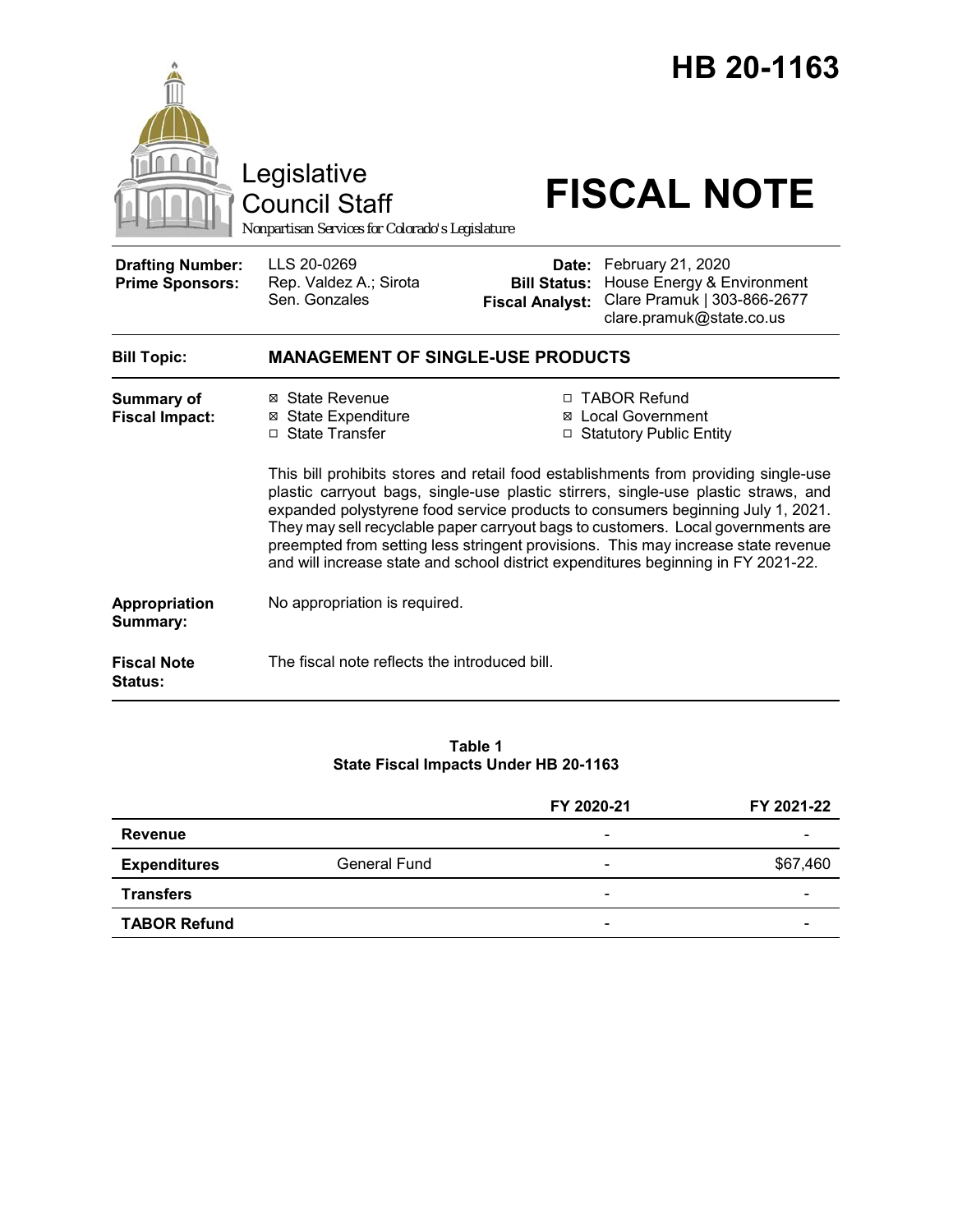|                                                   | Legislative<br><b>Council Staff</b><br>Nonpartisan Services for Colorado's Legislature                                                                                                                                                                                                                                                                                                                                                                                                                                                                                                                                                                                      |                                                        | HB 20-1163<br><b>FISCAL NOTE</b>                                                                           |
|---------------------------------------------------|-----------------------------------------------------------------------------------------------------------------------------------------------------------------------------------------------------------------------------------------------------------------------------------------------------------------------------------------------------------------------------------------------------------------------------------------------------------------------------------------------------------------------------------------------------------------------------------------------------------------------------------------------------------------------------|--------------------------------------------------------|------------------------------------------------------------------------------------------------------------|
| <b>Drafting Number:</b><br><b>Prime Sponsors:</b> | LLS 20-0269<br>Rep. Valdez A.; Sirota<br>Sen. Gonzales                                                                                                                                                                                                                                                                                                                                                                                                                                                                                                                                                                                                                      | Date:<br><b>Bill Status:</b><br><b>Fiscal Analyst:</b> | February 21, 2020<br>House Energy & Environment<br>Clare Pramuk   303-866-2677<br>clare.pramuk@state.co.us |
| <b>Bill Topic:</b>                                | <b>MANAGEMENT OF SINGLE-USE PRODUCTS</b>                                                                                                                                                                                                                                                                                                                                                                                                                                                                                                                                                                                                                                    |                                                        |                                                                                                            |
| <b>Summary of</b><br><b>Fiscal Impact:</b>        | □ TABOR Refund<br>⊠ State Revenue<br><b>⊠ State Expenditure</b><br><b>⊠</b> Local Government<br>□ State Transfer<br>□ Statutory Public Entity<br>This bill prohibits stores and retail food establishments from providing single-use<br>plastic carryout bags, single-use plastic stirrers, single-use plastic straws, and<br>expanded polystyrene food service products to consumers beginning July 1, 2021.<br>They may sell recyclable paper carryout bags to customers. Local governments are<br>preempted from setting less stringent provisions. This may increase state revenue<br>and will increase state and school district expenditures beginning in FY 2021-22. |                                                        |                                                                                                            |
| Appropriation<br>Summary:                         | No appropriation is required.                                                                                                                                                                                                                                                                                                                                                                                                                                                                                                                                                                                                                                               |                                                        |                                                                                                            |
| <b>Fiscal Note</b><br><b>Status:</b>              | The fiscal note reflects the introduced bill.                                                                                                                                                                                                                                                                                                                                                                                                                                                                                                                                                                                                                               |                                                        |                                                                                                            |

#### **Table 1 State Fiscal Impacts Under HB 20-1163**

|                     |                     | FY 2020-21               | FY 2021-22 |
|---------------------|---------------------|--------------------------|------------|
| Revenue             |                     | $\overline{\phantom{a}}$ |            |
| <b>Expenditures</b> | <b>General Fund</b> | -                        | \$67,460   |
| <b>Transfers</b>    |                     | $\overline{\phantom{a}}$ |            |
| <b>TABOR Refund</b> |                     | -                        |            |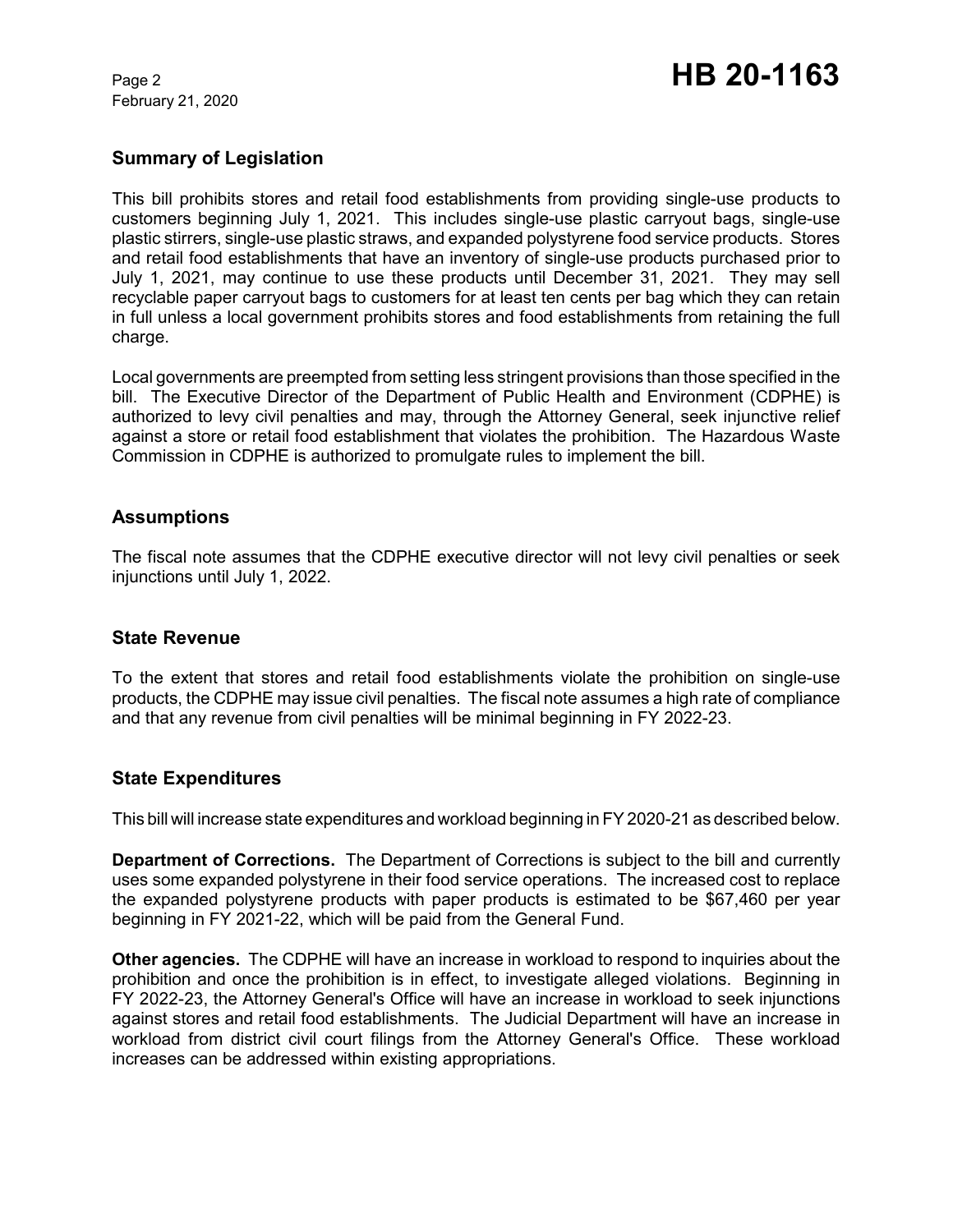February 21, 2020

# **Summary of Legislation**

This bill prohibits stores and retail food establishments from providing single-use products to customers beginning July 1, 2021. This includes single-use plastic carryout bags, single-use plastic stirrers, single-use plastic straws, and expanded polystyrene food service products. Stores and retail food establishments that have an inventory of single-use products purchased prior to July 1, 2021, may continue to use these products until December 31, 2021. They may sell recyclable paper carryout bags to customers for at least ten cents per bag which they can retain in full unless a local government prohibits stores and food establishments from retaining the full charge.

Local governments are preempted from setting less stringent provisions than those specified in the bill. The Executive Director of the Department of Public Health and Environment (CDPHE) is authorized to levy civil penalties and may, through the Attorney General, seek injunctive relief against a store or retail food establishment that violates the prohibition. The Hazardous Waste Commission in CDPHE is authorized to promulgate rules to implement the bill.

### **Assumptions**

The fiscal note assumes that the CDPHE executive director will not levy civil penalties or seek injunctions until July 1, 2022.

#### **State Revenue**

To the extent that stores and retail food establishments violate the prohibition on single-use products, the CDPHE may issue civil penalties. The fiscal note assumes a high rate of compliance and that any revenue from civil penalties will be minimal beginning in FY 2022-23.

#### **State Expenditures**

This bill will increase state expenditures and workload beginning in FY 2020-21 as described below.

**Department of Corrections.** The Department of Corrections is subject to the bill and currently uses some expanded polystyrene in their food service operations. The increased cost to replace the expanded polystyrene products with paper products is estimated to be \$67,460 per year beginning in FY 2021-22, which will be paid from the General Fund.

**Other agencies.** The CDPHE will have an increase in workload to respond to inquiries about the prohibition and once the prohibition is in effect, to investigate alleged violations. Beginning in FY 2022-23, the Attorney General's Office will have an increase in workload to seek injunctions against stores and retail food establishments. The Judicial Department will have an increase in workload from district civil court filings from the Attorney General's Office. These workload increases can be addressed within existing appropriations.